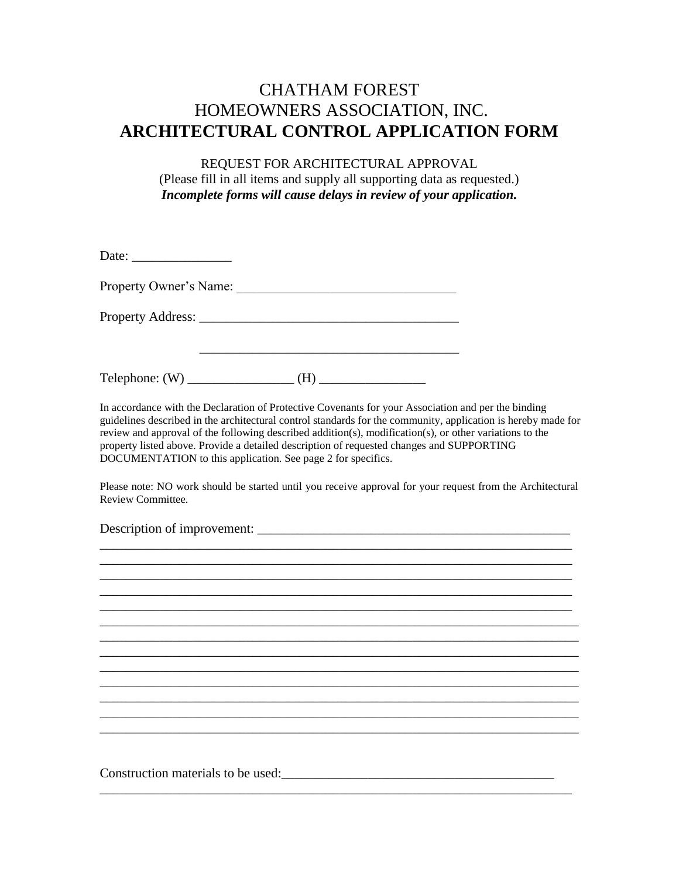## CHATHAM FOREST HOMEOWNERS ASSOCIATION, INC. **ARCHITECTURAL CONTROL APPLICATION FORM**

REQUEST FOR ARCHITECTURAL APPROVAL (Please fill in all items and supply all supporting data as requested.) *Incomplete forms will cause delays in review of your application.*

| Property Owner's Name:                                                                                                                                                                                                                                                                                                                                                                                                                                                                       |                                                                                   |  |
|----------------------------------------------------------------------------------------------------------------------------------------------------------------------------------------------------------------------------------------------------------------------------------------------------------------------------------------------------------------------------------------------------------------------------------------------------------------------------------------------|-----------------------------------------------------------------------------------|--|
|                                                                                                                                                                                                                                                                                                                                                                                                                                                                                              |                                                                                   |  |
|                                                                                                                                                                                                                                                                                                                                                                                                                                                                                              |                                                                                   |  |
| In accordance with the Declaration of Protective Covenants for your Association and per the binding<br>guidelines described in the architectural control standards for the community, application is hereby made for<br>review and approval of the following described addition(s), modification(s), or other variations to the<br>property listed above. Provide a detailed description of requested changes and SUPPORTING<br>DOCUMENTATION to this application. See page 2 for specifics. |                                                                                   |  |
| Please note: NO work should be started until you receive approval for your request from the Architectural<br>Review Committee.                                                                                                                                                                                                                                                                                                                                                               |                                                                                   |  |
|                                                                                                                                                                                                                                                                                                                                                                                                                                                                                              |                                                                                   |  |
|                                                                                                                                                                                                                                                                                                                                                                                                                                                                                              |                                                                                   |  |
|                                                                                                                                                                                                                                                                                                                                                                                                                                                                                              |                                                                                   |  |
|                                                                                                                                                                                                                                                                                                                                                                                                                                                                                              | ,我们也不能在这里的时候,我们也不能在这里的时候,我们也不能会在这里的时候,我们也不能会在这里的时候,我们也不能会在这里的时候,我们也不能会在这里的时候,我们也不 |  |
|                                                                                                                                                                                                                                                                                                                                                                                                                                                                                              |                                                                                   |  |
|                                                                                                                                                                                                                                                                                                                                                                                                                                                                                              |                                                                                   |  |
|                                                                                                                                                                                                                                                                                                                                                                                                                                                                                              |                                                                                   |  |
|                                                                                                                                                                                                                                                                                                                                                                                                                                                                                              |                                                                                   |  |
| Construction materials to be used:                                                                                                                                                                                                                                                                                                                                                                                                                                                           |                                                                                   |  |

\_\_\_\_\_\_\_\_\_\_\_\_\_\_\_\_\_\_\_\_\_\_\_\_\_\_\_\_\_\_\_\_\_\_\_\_\_\_\_\_\_\_\_\_\_\_\_\_\_\_\_\_\_\_\_\_\_\_\_\_\_\_\_\_\_\_\_\_\_\_\_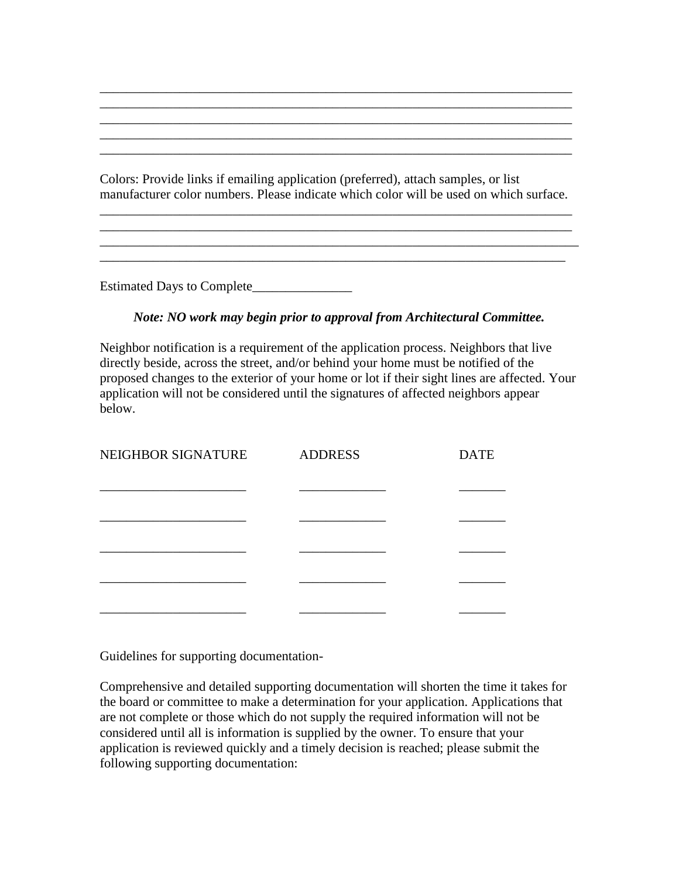Colors: Provide links if emailing application (preferred), attach samples, or list manufacturer color numbers. Please indicate which color will be used on which surface.

\_\_\_\_\_\_\_\_\_\_\_\_\_\_\_\_\_\_\_\_\_\_\_\_\_\_\_\_\_\_\_\_\_\_\_\_\_\_\_\_\_\_\_\_\_\_\_\_\_\_\_\_\_\_\_\_\_\_\_\_\_\_\_\_\_\_\_\_\_\_\_ \_\_\_\_\_\_\_\_\_\_\_\_\_\_\_\_\_\_\_\_\_\_\_\_\_\_\_\_\_\_\_\_\_\_\_\_\_\_\_\_\_\_\_\_\_\_\_\_\_\_\_\_\_\_\_\_\_\_\_\_\_\_\_\_\_\_\_\_\_\_\_

\_\_\_\_\_\_\_\_\_\_\_\_\_\_\_\_\_\_\_\_\_\_\_\_\_\_\_\_\_\_\_\_\_\_\_\_\_\_\_\_\_\_\_\_\_\_\_\_\_\_\_\_\_\_\_\_\_\_\_\_\_\_\_\_\_\_\_\_\_\_

\_\_\_\_\_\_\_\_\_\_\_\_\_\_\_\_\_\_\_\_\_\_\_\_\_\_\_\_\_\_\_\_\_\_\_\_\_\_\_\_\_\_\_\_\_\_\_\_\_\_\_\_\_\_\_\_\_\_\_\_\_\_\_\_\_\_\_\_\_\_\_

\_\_\_\_\_\_\_\_\_\_\_\_\_\_\_\_\_\_\_\_\_\_\_\_\_\_\_\_\_\_\_\_\_\_\_\_\_\_\_\_\_\_\_\_\_\_\_\_\_\_\_\_\_\_\_\_\_\_\_\_\_\_\_\_\_\_\_\_\_\_\_ \_\_\_\_\_\_\_\_\_\_\_\_\_\_\_\_\_\_\_\_\_\_\_\_\_\_\_\_\_\_\_\_\_\_\_\_\_\_\_\_\_\_\_\_\_\_\_\_\_\_\_\_\_\_\_\_\_\_\_\_\_\_\_\_\_\_\_\_\_\_\_ \_\_\_\_\_\_\_\_\_\_\_\_\_\_\_\_\_\_\_\_\_\_\_\_\_\_\_\_\_\_\_\_\_\_\_\_\_\_\_\_\_\_\_\_\_\_\_\_\_\_\_\_\_\_\_\_\_\_\_\_\_\_\_\_\_\_\_\_\_\_\_

Estimated Days to Complete\_\_\_\_\_\_\_\_\_\_\_\_\_\_\_

## *Note: NO work may begin prior to approval from Architectural Committee.*

Neighbor notification is a requirement of the application process. Neighbors that live directly beside, across the street, and/or behind your home must be notified of the proposed changes to the exterior of your home or lot if their sight lines are affected. Your application will not be considered until the signatures of affected neighbors appear below.

| NEIGHBOR SIGNATURE | <b>ADDRESS</b> | <b>DATE</b> |
|--------------------|----------------|-------------|
|                    |                |             |
|                    |                |             |
|                    |                |             |
|                    |                |             |
|                    |                |             |
|                    |                |             |

Guidelines for supporting documentation-

Comprehensive and detailed supporting documentation will shorten the time it takes for the board or committee to make a determination for your application. Applications that are not complete or those which do not supply the required information will not be considered until all is information is supplied by the owner. To ensure that your application is reviewed quickly and a timely decision is reached; please submit the following supporting documentation: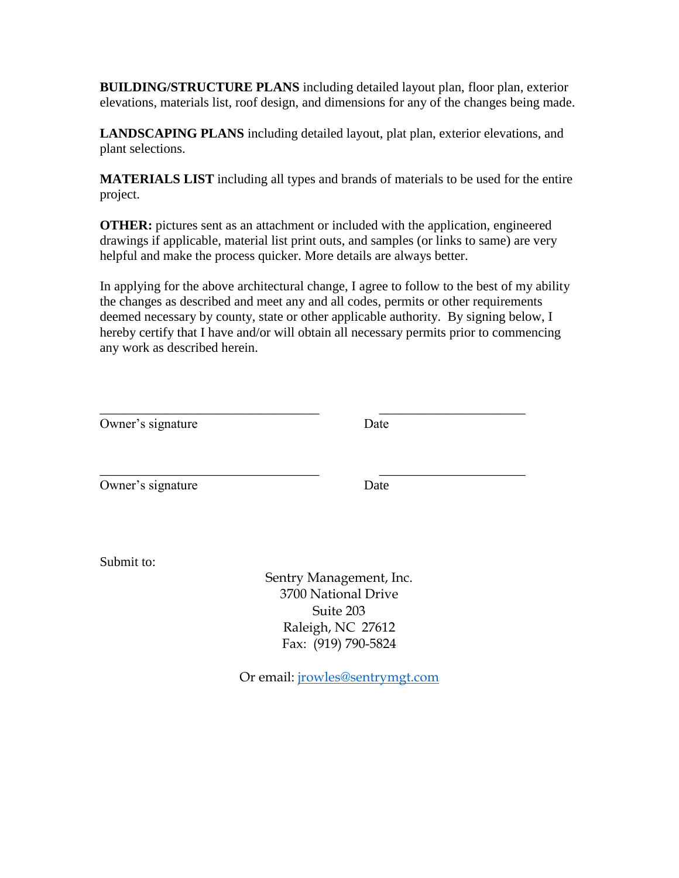**BUILDING/STRUCTURE PLANS** including detailed layout plan, floor plan, exterior elevations, materials list, roof design, and dimensions for any of the changes being made.

**LANDSCAPING PLANS** including detailed layout, plat plan, exterior elevations, and plant selections.

**MATERIALS LIST** including all types and brands of materials to be used for the entire project.

**OTHER:** pictures sent as an attachment or included with the application, engineered drawings if applicable, material list print outs, and samples (or links to same) are very helpful and make the process quicker. More details are always better.

In applying for the above architectural change, I agree to follow to the best of my ability the changes as described and meet any and all codes, permits or other requirements deemed necessary by county, state or other applicable authority. By signing below, I hereby certify that I have and/or will obtain all necessary permits prior to commencing any work as described herein.

| Owner's signature | Date                                                          |  |  |
|-------------------|---------------------------------------------------------------|--|--|
| Owner's signature | Date                                                          |  |  |
| Submit to:        | Sentry Management, Inc.                                       |  |  |
|                   | 3700 National Drive<br>Suite 203<br>Raleigh, NC 27612         |  |  |
|                   | Fax: (919) 790-5824<br>Or email: <i>jrowles@sentrymgt.com</i> |  |  |